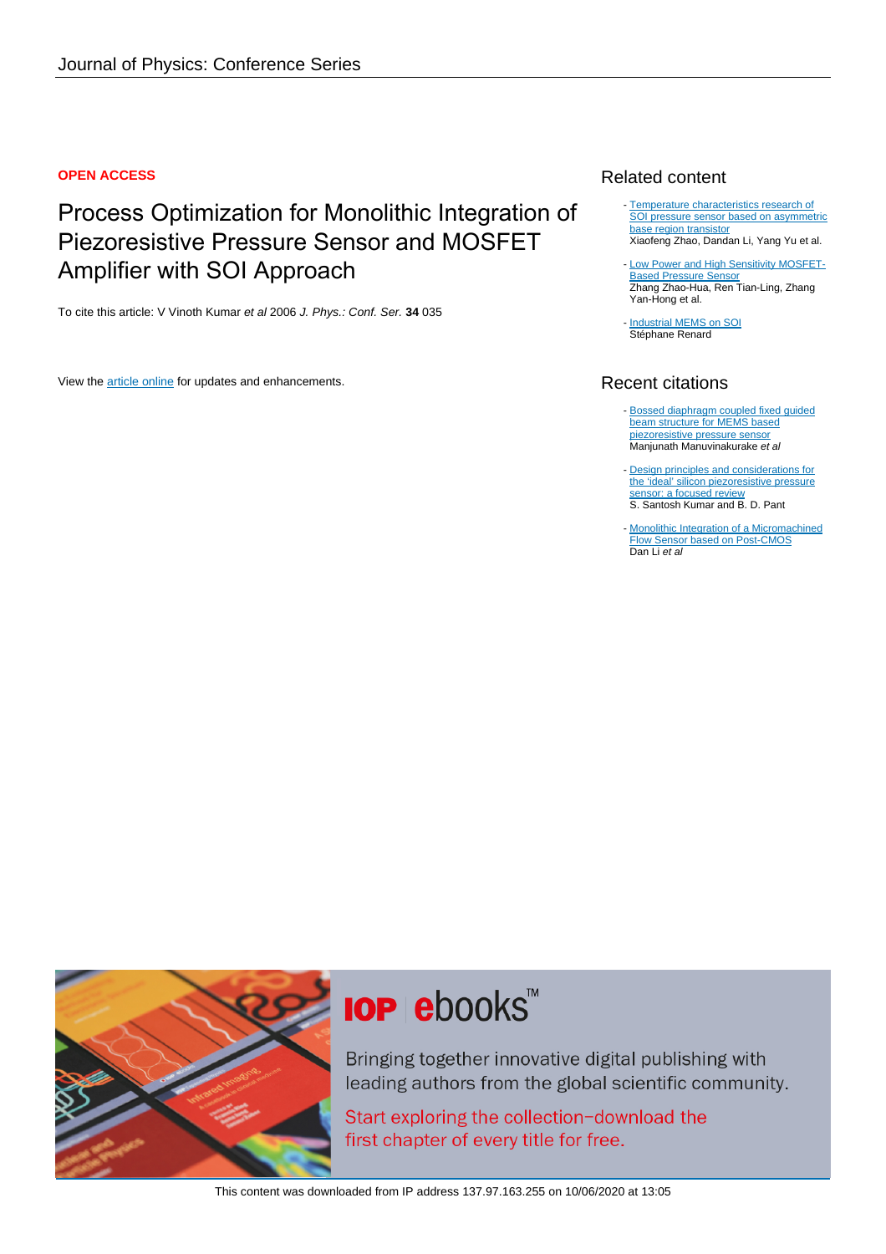#### **OPEN ACCESS**

# Process Optimization for Monolithic Integration of Piezoresistive Pressure Sensor and MOSFET Amplifier with SOI Approach

To cite this article: V Vinoth Kumar et al 2006 J. Phys.: Conf. Ser. **34** 035

View the [article online](https://doi.org/10.1088/1742-6596/34/1/035) for updates and enhancements.

### Related content

- [Temperature characteristics research of](http://iopscience.iop.org/article/10.1088/1674-4926/38/7/074008) [SOI pressure sensor based on asymmetric](http://iopscience.iop.org/article/10.1088/1674-4926/38/7/074008) base region transisto Xiaofeng Zhao, Dandan Li, Yang Yu et al.
- [Low Power and High Sensitivity MOSFET-](http://iopscience.iop.org/article/10.1088/0256-307X/29/8/088501)[Based Pressure Sensor](http://iopscience.iop.org/article/10.1088/0256-307X/29/8/088501) Zhang Zhao-Hua, Ren Tian-Ling, Zhang Yan-Hong et al.
- [Industrial MEMS on SOI](http://iopscience.iop.org/article/10.1088/0960-1317/10/2/323) Stéphane Renard

## Recent citations

- [Bossed diaphragm coupled fixed guided](http://dx.doi.org/10.1108/SR-10-2018-0275) [beam structure for MEMS based](http://dx.doi.org/10.1108/SR-10-2018-0275) [piezoresistive pressure sensor](http://dx.doi.org/10.1108/SR-10-2018-0275) Manjunath Manuvinakurake et al
- [Design principles and considerations for](http://dx.doi.org/10.1007/s00542-014-2215-7) [the 'ideal' silicon piezoresistive pressure](http://dx.doi.org/10.1007/s00542-014-2215-7) [sensor: a focused review](http://dx.doi.org/10.1007/s00542-014-2215-7) S. Santosh Kumar and B. D. Pant
- [Monolithic Integration of a Micromachined](http://dx.doi.org/10.1016/j.proeng.2012.09.318) [Flow Sensor based on Post-CMOS](http://dx.doi.org/10.1016/j.proeng.2012.09.318) Dan Li et al



# **IOP ebooks**™

Bringing together innovative digital publishing with leading authors from the global scientific community.

Start exploring the collection-download the first chapter of every title for free.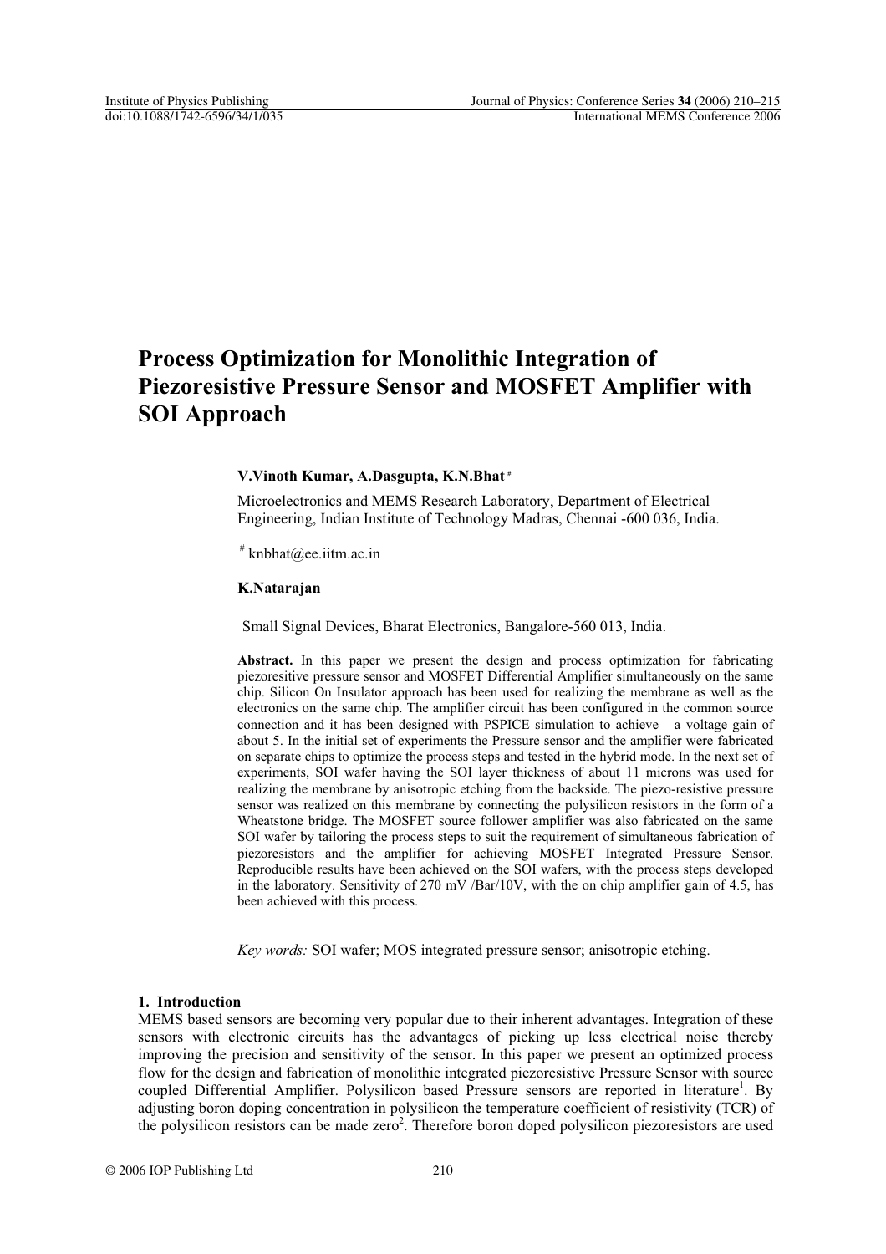## **Process Optimization for Monolithic Integration of Piezoresistive Pressure Sensor and MOSFET Amplifier with SOI Approach**

#### **V.Vinoth Kumar, A.Dasgupta, K.N.Bhat #**

Microelectronics and MEMS Research Laboratory, Department of Electrical Engineering, Indian Institute of Technology Madras, Chennai -600 036, India.

 $*$  knbhat@ee.iitm.ac.in

#### **K.Natarajan**

Small Signal Devices, Bharat Electronics, Bangalore-560 013, India.

**Abstract.** In this paper we present the design and process optimization for fabricating piezoresitive pressure sensor and MOSFET Differential Amplifier simultaneously on the same chip. Silicon On Insulator approach has been used for realizing the membrane as well as the electronics on the same chip. The amplifier circuit has been configured in the common source connection and it has been designed with PSPICE simulation to achieve a voltage gain of about 5. In the initial set of experiments the Pressure sensor and the amplifier were fabricated on separate chips to optimize the process steps and tested in the hybrid mode. In the next set of experiments, SOI wafer having the SOI layer thickness of about 11 microns was used for realizing the membrane by anisotropic etching from the backside. The piezo-resistive pressure sensor was realized on this membrane by connecting the polysilicon resistors in the form of a Wheatstone bridge. The MOSFET source follower amplifier was also fabricated on the same SOI wafer by tailoring the process steps to suit the requirement of simultaneous fabrication of piezoresistors and the amplifier for achieving MOSFET Integrated Pressure Sensor. Reproducible results have been achieved on the SOI wafers, with the process steps developed in the laboratory. Sensitivity of 270 mV /Bar/10V, with the on chip amplifier gain of 4.5, has been achieved with this process.

*Key words:* SOI wafer; MOS integrated pressure sensor; anisotropic etching.

#### **1. Introduction**

MEMS based sensors are becoming very popular due to their inherent advantages. Integration of these sensors with electronic circuits has the advantages of picking up less electrical noise thereby improving the precision and sensitivity of the sensor. In this paper we present an optimized process flow for the design and fabrication of monolithic integrated piezoresistive Pressure Sensor with source coupled Differential Amplifier. Polysilicon based Pressure sensors are reported in literature<sup>1</sup>. By adjusting boron doping concentration in polysilicon the temperature coefficient of resistivity (TCR) of the polysilicon resistors can be made zero<sup>2</sup>. Therefore boron doped polysilicon piezoresistors are used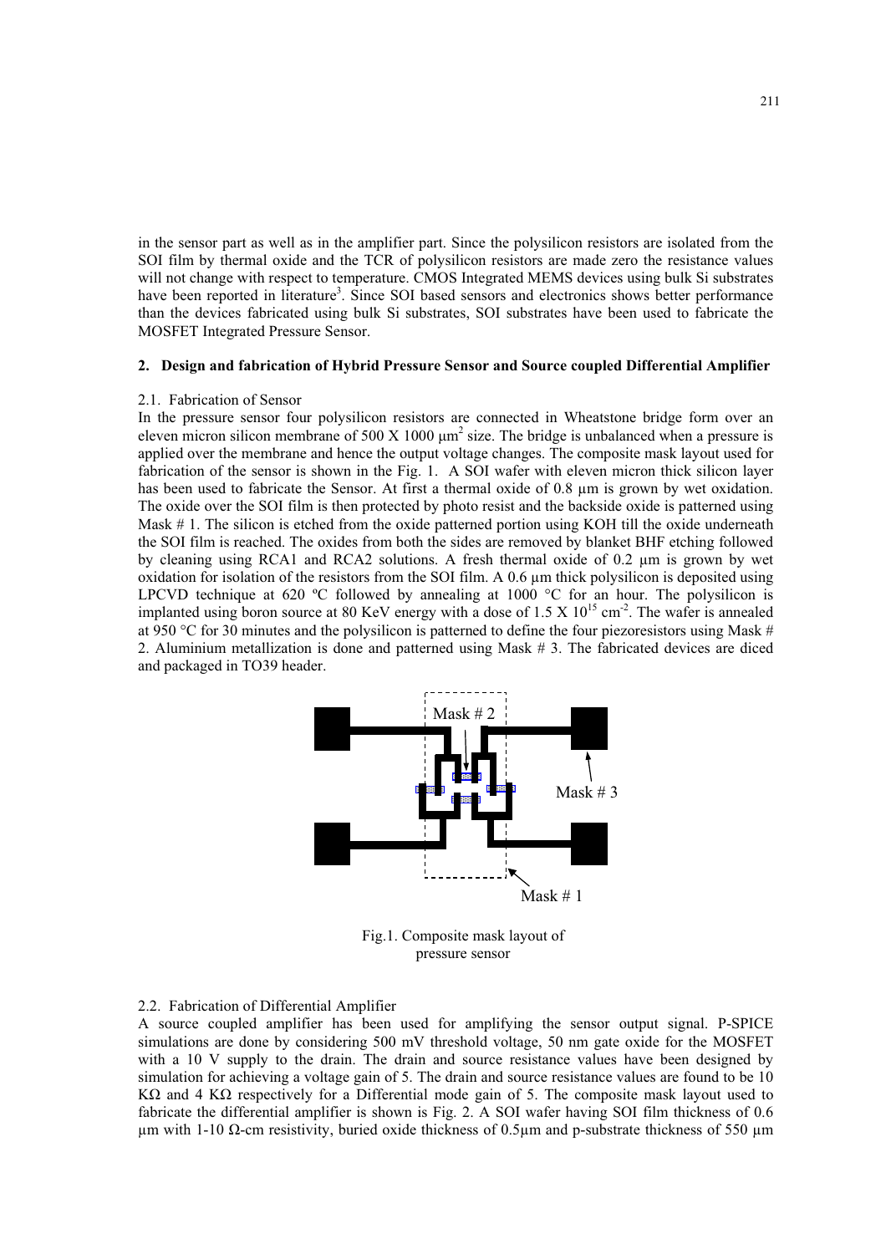in the sensor part as well as in the amplifier part. Since the polysilicon resistors are isolated from the SOI film by thermal oxide and the TCR of polysilicon resistors are made zero the resistance values will not change with respect to temperature. CMOS Integrated MEMS devices using bulk Si substrates have been reported in literature<sup>3</sup>. Since SOI based sensors and electronics shows better performance than the devices fabricated using bulk Si substrates, SOI substrates have been used to fabricate the MOSFET Integrated Pressure Sensor.

#### **2. Design and fabrication of Hybrid Pressure Sensor and Source coupled Differential Amplifier**

#### 2.1. Fabrication of Sensor

In the pressure sensor four polysilicon resistors are connected in Wheatstone bridge form over an eleven micron silicon membrane of 500 X 1000  $\mu$ m<sup>2</sup> size. The bridge is unbalanced when a pressure is applied over the membrane and hence the output voltage changes. The composite mask layout used for fabrication of the sensor is shown in the Fig. 1. A SOI wafer with eleven micron thick silicon layer has been used to fabricate the Sensor. At first a thermal oxide of 0.8 μm is grown by wet oxidation. The oxide over the SOI film is then protected by photo resist and the backside oxide is patterned using Mask # 1. The silicon is etched from the oxide patterned portion using KOH till the oxide underneath the SOI film is reached. The oxides from both the sides are removed by blanket BHF etching followed by cleaning using RCA1 and RCA2 solutions. A fresh thermal oxide of 0.2 μm is grown by wet oxidation for isolation of the resistors from the SOI film. A 0.6 μm thick polysilicon is deposited using LPCVD technique at 620 °C followed by annealing at 1000 °C for an hour. The polysilicon is implanted using boron source at 80 KeV energy with a dose of 1.5 X  $10^{15}$  cm<sup>-2</sup>. The wafer is annealed at 950 °C for 30 minutes and the polysilicon is patterned to define the four piezoresistors using Mask # 2. Aluminium metallization is done and patterned using Mask # 3. The fabricated devices are diced and packaged in TO39 header.



Fig.1. Composite mask layout of pressure sensor

#### 2.2. Fabrication of Differential Amplifier

A source coupled amplifier has been used for amplifying the sensor output signal. P-SPICE simulations are done by considering 500 mV threshold voltage, 50 nm gate oxide for the MOSFET with a 10 V supply to the drain. The drain and source resistance values have been designed by simulation for achieving a voltage gain of 5. The drain and source resistance values are found to be 10 K $\Omega$  and 4 K $\Omega$  respectively for a Differential mode gain of 5. The composite mask layout used to fabricate the differential amplifier is shown is Fig. 2. A SOI wafer having SOI film thickness of 0.6 μm with 1-10 Ω-cm resistivity, buried oxide thickness of 0.5μm and p-substrate thickness of 550 μm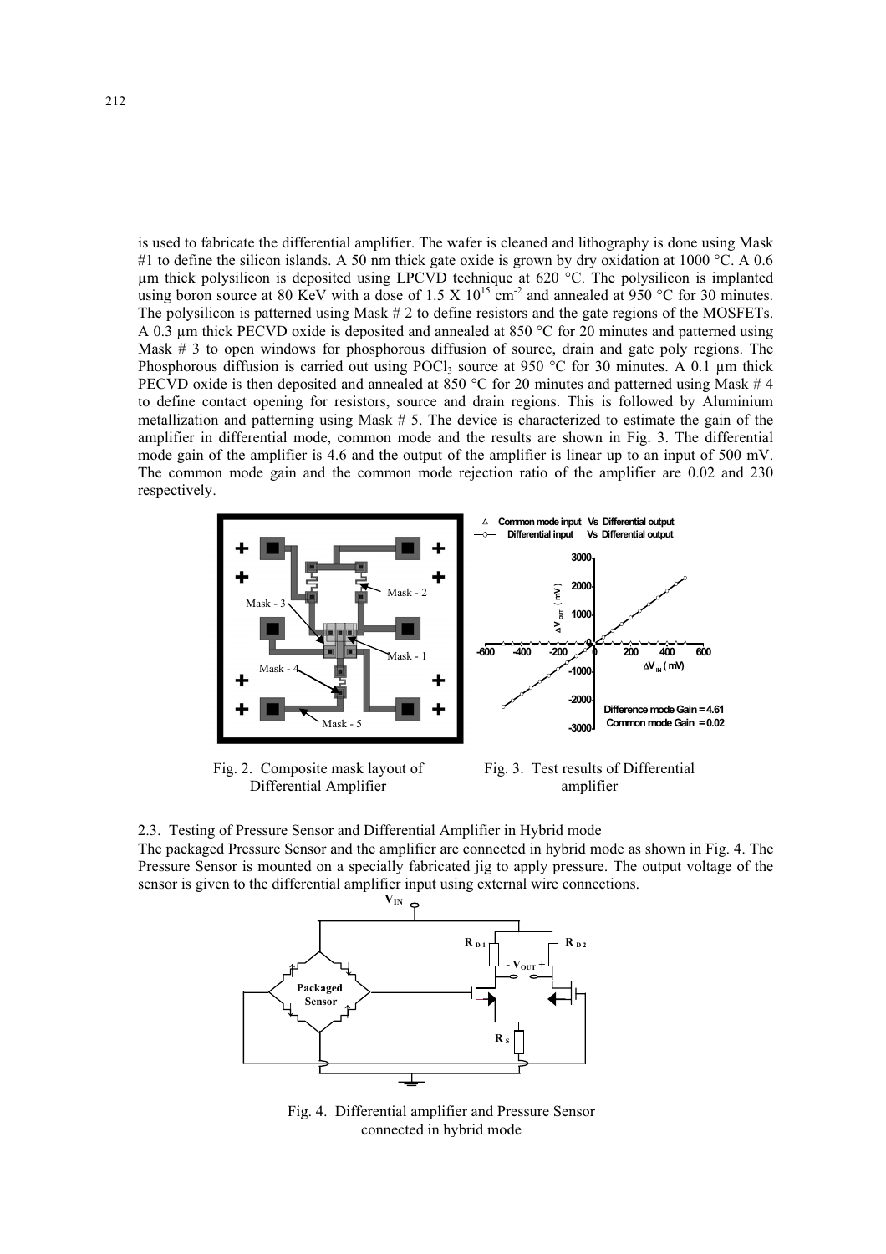is used to fabricate the differential amplifier. The wafer is cleaned and lithography is done using Mask #1 to define the silicon islands. A 50 nm thick gate oxide is grown by dry oxidation at 1000 °C. A 0.6 μm thick polysilicon is deposited using LPCVD technique at 620 °C. The polysilicon is implanted using boron source at 80 KeV with a dose of 1.5 X  $10^{15}$  cm<sup>-2</sup> and annealed at 950 °C for 30 minutes. The polysilicon is patterned using Mask # 2 to define resistors and the gate regions of the MOSFETs. A 0.3 μm thick PECVD oxide is deposited and annealed at 850 °C for 20 minutes and patterned using Mask # 3 to open windows for phosphorous diffusion of source, drain and gate poly regions. The Phosphorous diffusion is carried out using POCl<sub>3</sub> source at 950 °C for 30 minutes. A 0.1  $\mu$ m thick PECVD oxide is then deposited and annealed at 850 °C for 20 minutes and patterned using Mask # 4 to define contact opening for resistors, source and drain regions. This is followed by Aluminium metallization and patterning using Mask # 5. The device is characterized to estimate the gain of the amplifier in differential mode, common mode and the results are shown in Fig. 3. The differential mode gain of the amplifier is 4.6 and the output of the amplifier is linear up to an input of 500 mV. The common mode gain and the common mode rejection ratio of the amplifier are 0.02 and 230 respectively.



Fig. 2. Composite mask layout of Differential Amplifier



2.3. Testing of Pressure Sensor and Differential Amplifier in Hybrid mode The packaged Pressure Sensor and the amplifier are connected in hybrid mode as shown in Fig. 4. The Pressure Sensor is mounted on a specially fabricated jig to apply pressure. The output voltage of the sensor is given to the differential amplifier input using external wire connections.



Fig. 4. Differential amplifier and Pressure Sensor connected in hybrid mode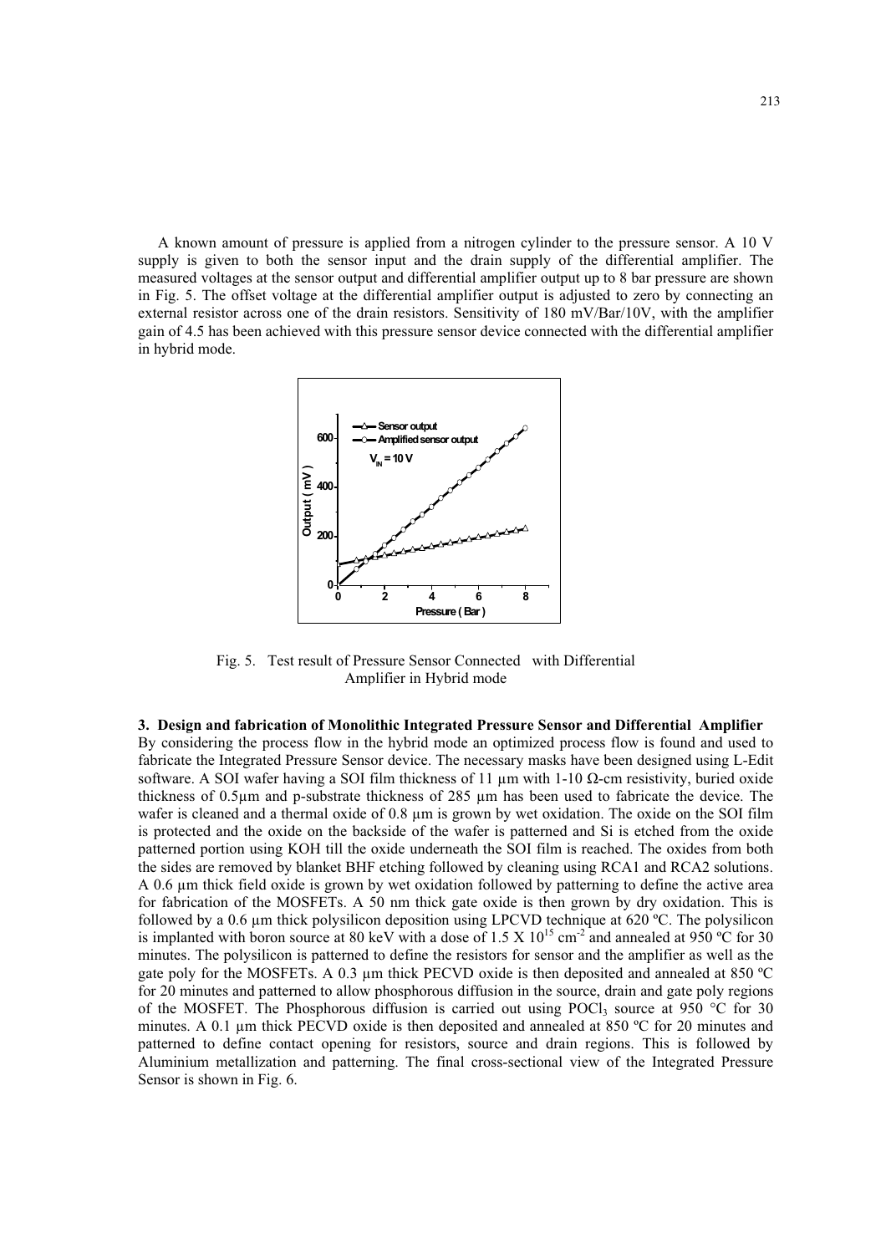A known amount of pressure is applied from a nitrogen cylinder to the pressure sensor. A 10 V supply is given to both the sensor input and the drain supply of the differential amplifier. The measured voltages at the sensor output and differential amplifier output up to 8 bar pressure are shown in Fig. 5. The offset voltage at the differential amplifier output is adjusted to zero by connecting an external resistor across one of the drain resistors. Sensitivity of 180 mV/Bar/10V, with the amplifier gain of 4.5 has been achieved with this pressure sensor device connected with the differential amplifier in hybrid mode.



Fig. 5. Test result of Pressure Sensor Connected with Differential Amplifier in Hybrid mode

**3. Design and fabrication of Monolithic Integrated Pressure Sensor and Differential Amplifier**  By considering the process flow in the hybrid mode an optimized process flow is found and used to fabricate the Integrated Pressure Sensor device. The necessary masks have been designed using L-Edit software. A SOI wafer having a SOI film thickness of 11  $\mu$ m with 1-10  $\Omega$ -cm resistivity, buried oxide thickness of 0.5μm and p-substrate thickness of 285 μm has been used to fabricate the device. The wafer is cleaned and a thermal oxide of 0.8 μm is grown by wet oxidation. The oxide on the SOI film is protected and the oxide on the backside of the wafer is patterned and Si is etched from the oxide patterned portion using KOH till the oxide underneath the SOI film is reached. The oxides from both the sides are removed by blanket BHF etching followed by cleaning using RCA1 and RCA2 solutions. A 0.6 μm thick field oxide is grown by wet oxidation followed by patterning to define the active area for fabrication of the MOSFETs. A 50 nm thick gate oxide is then grown by dry oxidation. This is followed by a 0.6 μm thick polysilicon deposition using LPCVD technique at 620 ºC. The polysilicon is implanted with boron source at 80 keV with a dose of 1.5 X  $10^{15}$  cm<sup>-2</sup> and annealed at 950 °C for 30 minutes. The polysilicon is patterned to define the resistors for sensor and the amplifier as well as the gate poly for the MOSFETs. A 0.3 μm thick PECVD oxide is then deposited and annealed at 850 ºC for 20 minutes and patterned to allow phosphorous diffusion in the source, drain and gate poly regions of the MOSFET. The Phosphorous diffusion is carried out using POCl<sub>3</sub> source at 950 °C for 30 minutes. A 0.1 μm thick PECVD oxide is then deposited and annealed at 850 ºC for 20 minutes and patterned to define contact opening for resistors, source and drain regions. This is followed by Aluminium metallization and patterning. The final cross-sectional view of the Integrated Pressure Sensor is shown in Fig. 6.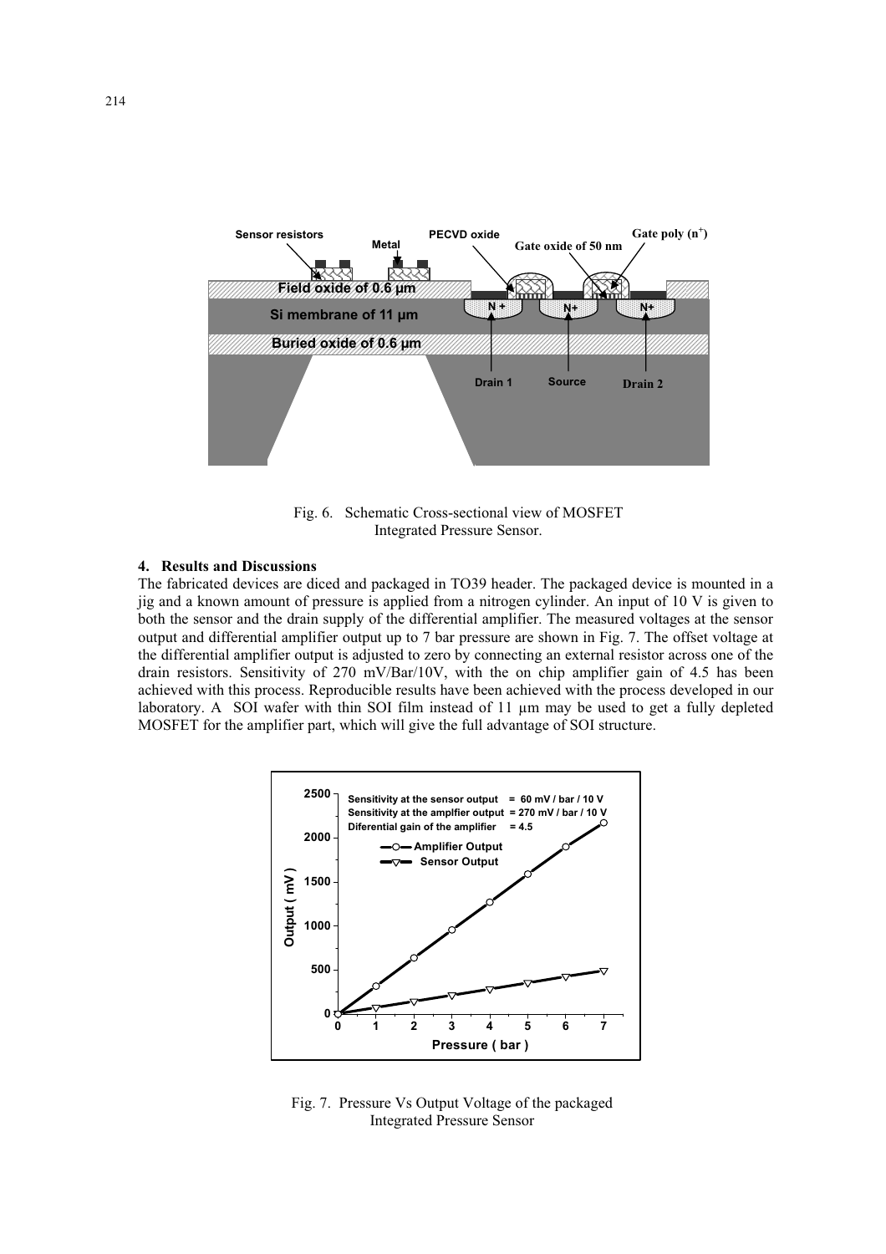

Fig. 6. Schematic Cross-sectional view of MOSFET Integrated Pressure Sensor.

#### **4. Results and Discussions**

The fabricated devices are diced and packaged in TO39 header. The packaged device is mounted in a jig and a known amount of pressure is applied from a nitrogen cylinder. An input of 10 V is given to both the sensor and the drain supply of the differential amplifier. The measured voltages at the sensor output and differential amplifier output up to 7 bar pressure are shown in Fig. 7. The offset voltage at the differential amplifier output is adjusted to zero by connecting an external resistor across one of the drain resistors. Sensitivity of 270 mV/Bar/10V, with the on chip amplifier gain of 4.5 has been achieved with this process. Reproducible results have been achieved with the process developed in our laboratory. A SOI wafer with thin SOI film instead of 11 μm may be used to get a fully depleted MOSFET for the amplifier part, which will give the full advantage of SOI structure.



Fig. 7. Pressure Vs Output Voltage of the packaged Integrated Pressure Sensor